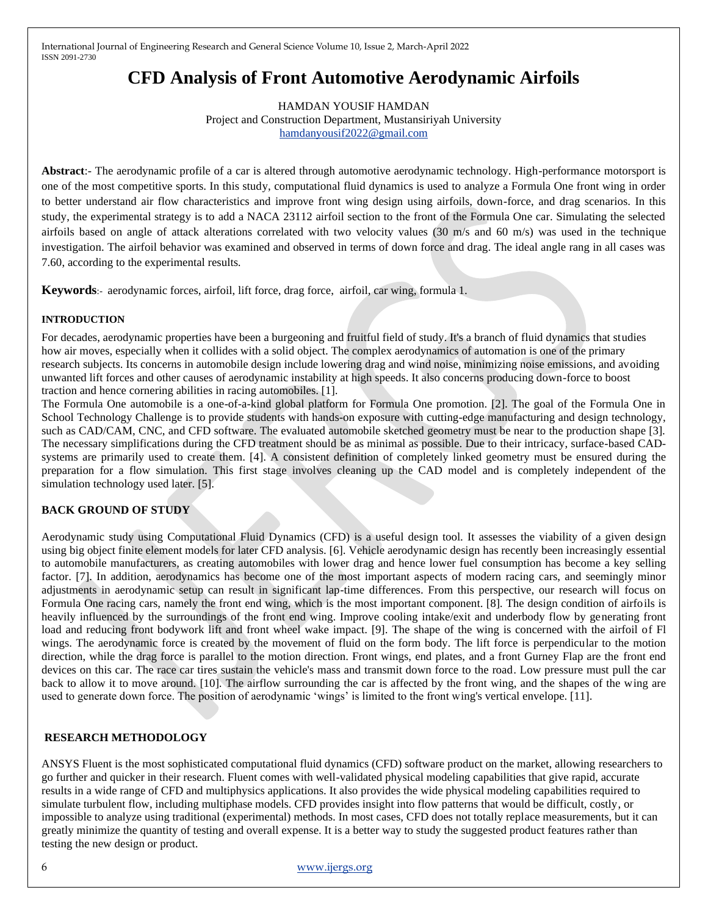# **CFD Analysis of Front Automotive Aerodynamic Airfoils**

HAMDAN YOUSIF HAMDAN Project and Construction Department, Mustansiriyah University [hamdanyousif2022@gmail.com](mailto:hamdanyousif2022@gmail.com)

**Abstract**:- The aerodynamic profile of a car is altered through automotive aerodynamic technology. High-performance motorsport is one of the most competitive sports. In this study, computational fluid dynamics is used to analyze a Formula One front wing in order to better understand air flow characteristics and improve front wing design using airfoils, down-force, and drag scenarios. In this study, the experimental strategy is to add a NACA 23112 airfoil section to the front of the Formula One car. Simulating the selected airfoils based on angle of attack alterations correlated with two velocity values  $(30 \text{ m/s}$  and  $60 \text{ m/s})$  was used in the technique investigation. The airfoil behavior was examined and observed in terms of down force and drag. The ideal angle rang in all cases was 7.60, according to the experimental results.

**Keywords**:- aerodynamic forces, airfoil, lift force, drag force, airfoil, car wing, formula 1.

#### **INTRODUCTION**

For decades, aerodynamic properties have been a burgeoning and fruitful field of study. It's a branch of fluid dynamics that studies how air moves, especially when it collides with a solid object. The complex aerodynamics of automation is one of the primary research subjects. Its concerns in automobile design include lowering drag and wind noise, minimizing noise emissions, and avoiding unwanted lift forces and other causes of aerodynamic instability at high speeds. It also concerns producing down-force to boost traction and hence cornering abilities in racing automobiles. [1].

The Formula One automobile is a one-of-a-kind global platform for Formula One promotion. [2]. The goal of the Formula One in School Technology Challenge is to provide students with hands-on exposure with cutting-edge manufacturing and design technology, such as CAD/CAM, CNC, and CFD software. The evaluated automobile sketched geometry must be near to the production shape [3]. The necessary simplifications during the CFD treatment should be as minimal as possible. Due to their intricacy, surface-based CADsystems are primarily used to create them. [4]. A consistent definition of completely linked geometry must be ensured during the preparation for a flow simulation. This first stage involves cleaning up the CAD model and is completely independent of the simulation technology used later. [5].

## **BACK GROUND OF STUDY**

Aerodynamic study using Computational Fluid Dynamics (CFD) is a useful design tool. It assesses the viability of a given design using big object finite element models for later CFD analysis. [6]. Vehicle aerodynamic design has recently been increasingly essential to automobile manufacturers, as creating automobiles with lower drag and hence lower fuel consumption has become a key selling factor. [7]. In addition, aerodynamics has become one of the most important aspects of modern racing cars, and seemingly minor adjustments in aerodynamic setup can result in significant lap-time differences. From this perspective, our research will focus on Formula One racing cars, namely the front end wing, which is the most important component. [8]. The design condition of airfoils is heavily influenced by the surroundings of the front end wing. Improve cooling intake/exit and underbody flow by generating front load and reducing front bodywork lift and front wheel wake impact. [9]. The shape of the wing is concerned with the airfoil of Fl wings. The aerodynamic force is created by the movement of fluid on the form body. The lift force is perpendicular to the motion direction, while the drag force is parallel to the motion direction. Front wings, end plates, and a front Gurney Flap are the front end devices on this car. The race car tires sustain the vehicle's mass and transmit down force to the road. Low pressure must pull the car back to allow it to move around. [10]. The airflow surrounding the car is affected by the front wing, and the shapes of the wing are used to generate down force. The position of aerodynamic 'wings' is limited to the front wing's vertical envelope. [11].

## **RESEARCH METHODOLOGY**

ANSYS Fluent is the most sophisticated computational fluid dynamics (CFD) software product on the market, allowing researchers to go further and quicker in their research. Fluent comes with well-validated physical modeling capabilities that give rapid, accurate results in a wide range of CFD and multiphysics applications. It also provides the wide physical modeling capabilities required to simulate turbulent flow, including multiphase models. CFD provides insight into flow patterns that would be difficult, costly, or impossible to analyze using traditional (experimental) methods. In most cases, CFD does not totally replace measurements, but it can greatly minimize the quantity of testing and overall expense. It is a better way to study the suggested product features rather than testing the new design or product.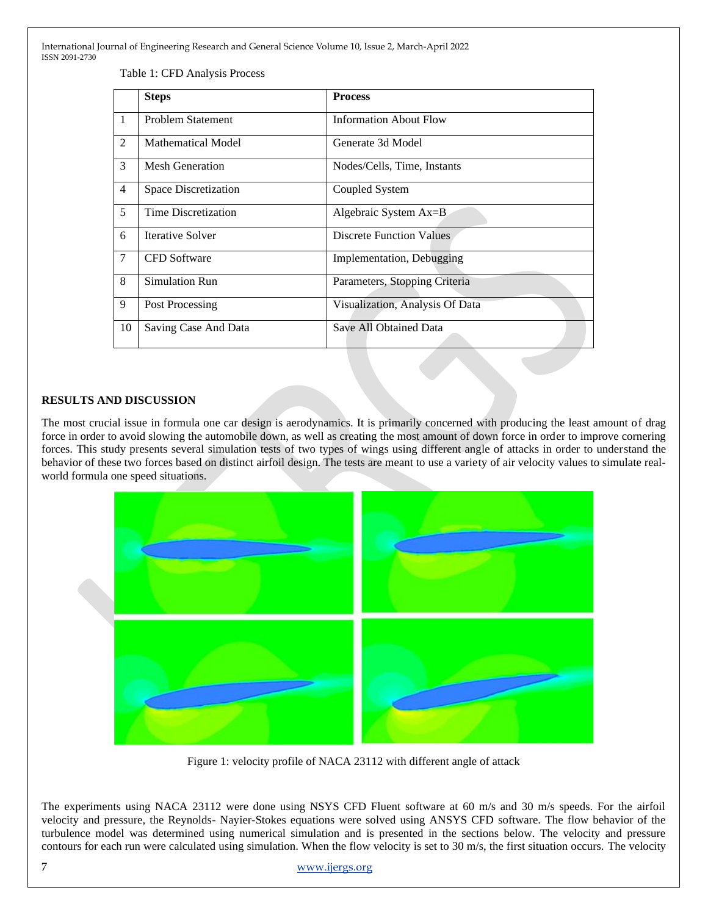Table 1: CFD Analysis Process

|                | <b>Steps</b>                | <b>Process</b>                  |
|----------------|-----------------------------|---------------------------------|
| $\mathbf{1}$   | Problem Statement           | <b>Information About Flow</b>   |
| 2              | Mathematical Model          | Generate 3d Model               |
| 3              | Mesh Generation             | Nodes/Cells, Time, Instants     |
| $\overline{4}$ | <b>Space Discretization</b> | Coupled System                  |
| 5              | Time Discretization         | Algebraic System Ax=B           |
| 6              | Iterative Solver            | <b>Discrete Function Values</b> |
| 7              | <b>CFD</b> Software         | Implementation, Debugging       |
| 8              | Simulation Run              | Parameters, Stopping Criteria   |
| 9              | Post Processing             | Visualization, Analysis Of Data |
| 10             | Saving Case And Data        | Save All Obtained Data          |

# **RESULTS AND DISCUSSION**

The most crucial issue in formula one car design is aerodynamics. It is primarily concerned with producing the least amount of drag force in order to avoid slowing the automobile down, as well as creating the most amount of down force in order to improve cornering forces. This study presents several simulation tests of two types of wings using different angle of attacks in order to understand the behavior of these two forces based on distinct airfoil design. The tests are meant to use a variety of air velocity values to simulate realworld formula one speed situations.



Figure 1: velocity profile of NACA 23112 with different angle of attack

The experiments using NACA 23112 were done using NSYS CFD Fluent software at 60 m/s and 30 m/s speeds. For the airfoil velocity and pressure, the Reynolds- Nayier-Stokes equations were solved using ANSYS CFD software. The flow behavior of the turbulence model was determined using numerical simulation and is presented in the sections below. The velocity and pressure contours for each run were calculated using simulation. When the flow velocity is set to 30 m/s, the first situation occurs. The velocity

7 [www.ijergs.org](http://www.ijergs.org/)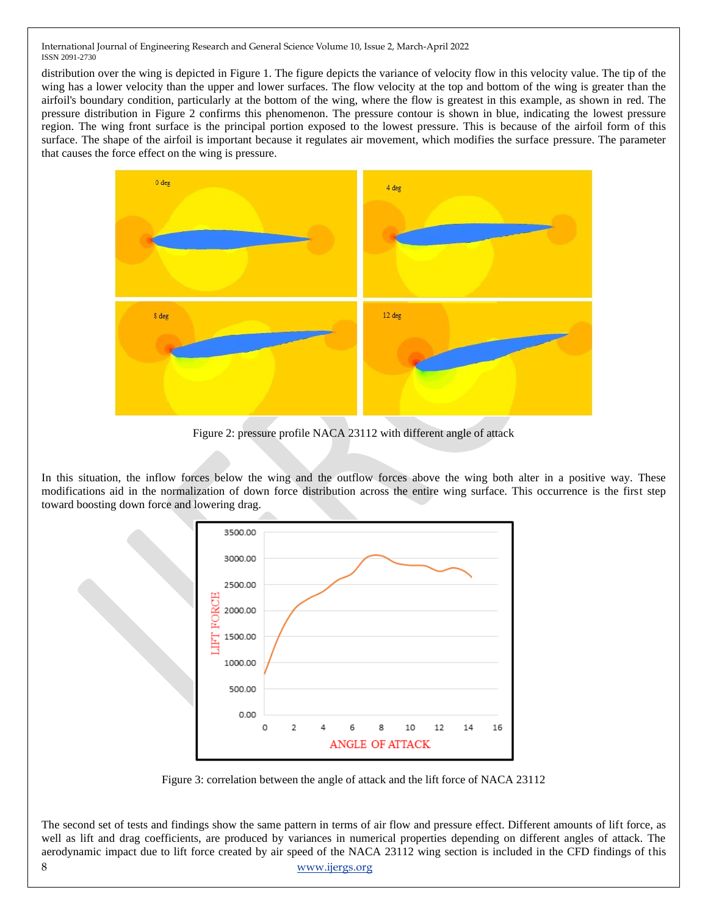distribution over the wing is depicted in Figure 1. The figure depicts the variance of velocity flow in this velocity value. The tip of the wing has a lower velocity than the upper and lower surfaces. The flow velocity at the top and bottom of the wing is greater than the airfoil's boundary condition, particularly at the bottom of the wing, where the flow is greatest in this example, as shown in red. The pressure distribution in Figure 2 confirms this phenomenon. The pressure contour is shown in blue, indicating the lowest pressure region. The wing front surface is the principal portion exposed to the lowest pressure. This is because of the airfoil form of this surface. The shape of the airfoil is important because it regulates air movement, which modifies the surface pressure. The parameter that causes the force effect on the wing is pressure.



Figure 2: pressure profile NACA 23112 with different angle of attack

In this situation, the inflow forces below the wing and the outflow forces above the wing both alter in a positive way. These modifications aid in the normalization of down force distribution across the entire wing surface. This occurrence is the first step toward boosting down force and lowering drag.



Figure 3: correlation between the angle of attack and the lift force of NACA 23112

The second set of tests and findings show the same pattern in terms of air flow and pressure effect. Different amounts of lift force, as well as lift and drag coefficients, are produced by variances in numerical properties depending on different angles of attack. The aerodynamic impact due to lift force created by air speed of the NACA 23112 wing section is included in the CFD findings of this

#### 8 [www.ijergs.org](http://www.ijergs.org/)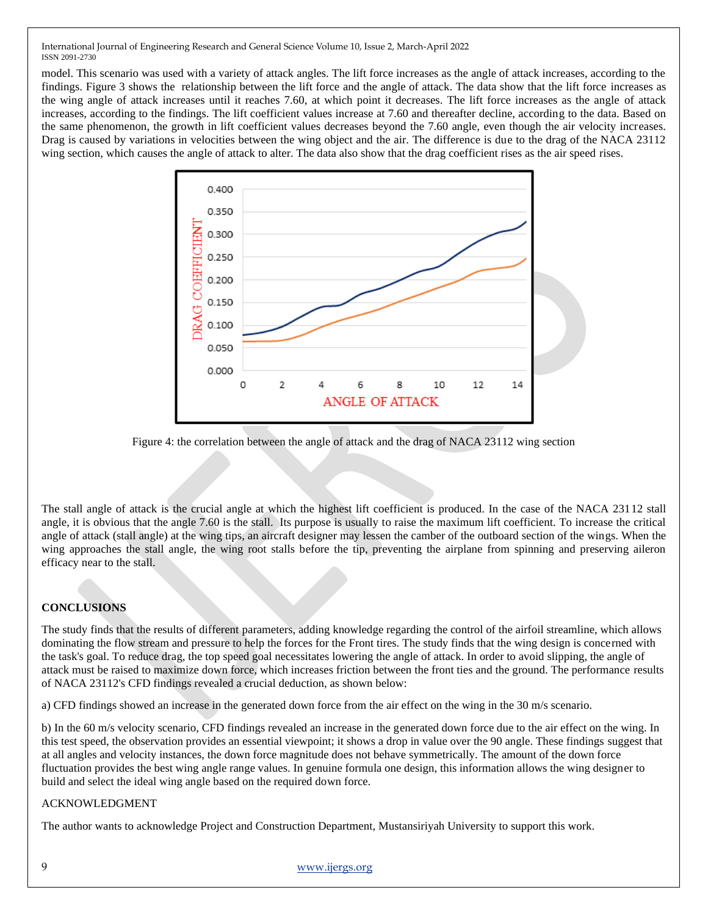model. This scenario was used with a variety of attack angles. The lift force increases as the angle of attack increases, according to the findings. Figure 3 shows the relationship between the lift force and the angle of attack. The data show that the lift force increases as the wing angle of attack increases until it reaches 7.60, at which point it decreases. The lift force increases as the angle of attack increases, according to the findings. The lift coefficient values increase at 7.60 and thereafter decline, according to the data. Based on the same phenomenon, the growth in lift coefficient values decreases beyond the 7.60 angle, even though the air velocity increases. Drag is caused by variations in velocities between the wing object and the air. The difference is due to the drag of the NACA 23112 wing section, which causes the angle of attack to alter. The data also show that the drag coefficient rises as the air speed rises.



Figure 4: the correlation between the angle of attack and the drag of NACA 23112 wing section

The stall angle of attack is the crucial angle at which the highest lift coefficient is produced. In the case of the NACA 23112 stall angle, it is obvious that the angle 7.60 is the stall. Its purpose is usually to raise the maximum lift coefficient. To increase the critical angle of attack (stall angle) at the wing tips, an aircraft designer may lessen the camber of the outboard section of the wings. When the wing approaches the stall angle, the wing root stalls before the tip, preventing the airplane from spinning and preserving aileron efficacy near to the stall.

# **CONCLUSIONS**

The study finds that the results of different parameters, adding knowledge regarding the control of the airfoil streamline, which allows dominating the flow stream and pressure to help the forces for the Front tires. The study finds that the wing design is concerned with the task's goal. To reduce drag, the top speed goal necessitates lowering the angle of attack. In order to avoid slipping, the angle of attack must be raised to maximize down force, which increases friction between the front ties and the ground. The performance results of NACA 23112's CFD findings revealed a crucial deduction, as shown below:

a) CFD findings showed an increase in the generated down force from the air effect on the wing in the 30 m/s scenario.

b) In the 60 m/s velocity scenario, CFD findings revealed an increase in the generated down force due to the air effect on the wing. In this test speed, the observation provides an essential viewpoint; it shows a drop in value over the 90 angle. These findings suggest that at all angles and velocity instances, the down force magnitude does not behave symmetrically. The amount of the down force fluctuation provides the best wing angle range values. In genuine formula one design, this information allows the wing designer to build and select the ideal wing angle based on the required down force.

# ACKNOWLEDGMENT

The author wants to acknowledge Project and Construction Department, Mustansiriyah University to support this work.